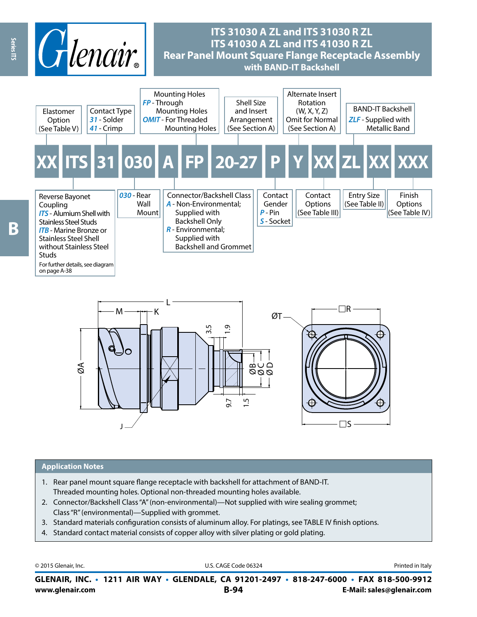

# **ITS 31030 A ZL and ITS 31030 R ZL ITS 41030 A ZL and ITS 41030 R ZL Rear Panel Mount Square Flange Receptacle Assembly with BAND-IT Backshell**





#### **Application Notes**

- 1. Rear panel mount square flange receptacle with backshell for attachment of BAND-IT. Threaded mounting holes. Optional non-threaded mounting holes available.
- 2. Connector/Backshell Class "A" (non-environmental)—Not supplied with wire sealing grommet; Class "R" (environmental)—Supplied with grommet.
- 3. Standard materials configuration consists of aluminum alloy. For platings, see TABLE IV finish options.
- 4. Standard contact material consists of copper alloy with silver plating or gold plating.

**www.glenair.com B-94 E-Mail: sales@glenair.com GLENAIR, INC. • 1211 AIR WAY • GLENDALE, CA 91201-2497 • 818-247-6000 • FAX 818-500-9912** © 2015 Glenair, Inc. **Discription Construction Construction Construction Construction Construction Construction Construction Construction Construction Construction Construction Construction Construction Construction Constr**